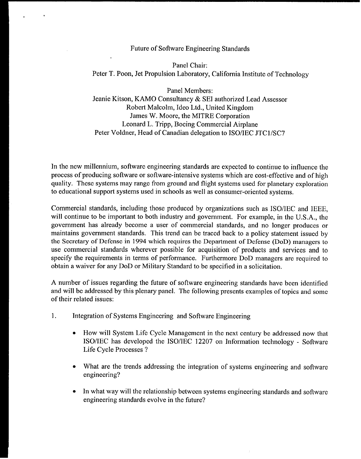## Future of Sofiware Engineering Standards

Panel Chair: Peter T. Poon, Jet Propulsion Laboratory, California Institute of Technology

Panel Members: Jeanie Kitson, KAMO Consultancy & SEI authorized Lead Assessor Robert Malcolm, Ideo Ltd., United Kingdom James W. Moore, the MITRE Corporation Leonard L. Tripp, Boeing Commercial Airplane Peter Voldner, Head of Canadian delegation to ISO/IEC JTC1/SC7

In the new millennium, software engineering standards are expected to continue to influence the process of producing software or software-intensive systems which are cost-effective and of high quality. These systems may range from ground and flight systems used for planetary exploration to educational support systems used in schools as well as consumer-oriented systems.

Commercial standards, including those produced by organizations such as ISO/IEC and IEEE, will continue to be important to both industry and government. For example, in the U.S.A., the government has already become a user of commercial standards, and no longer produces or maintains government standards. This trend can be traced back to a policy statement issued by the Secretary of Defense in 1994 which requires the Department of Defense (DoD) managers to use commercial standards wherever possible for acquisition of products and services and to specify the requirements in terms of performance. Furthermore DoD managers are required to obtain a waiver for any DoD or Military Standard to be specified in a solicitation.

A number of issues regarding the future of software engineering standards have been identified and will be addressed by this plenary panel. The following presents examples of topics and some of their related issues:

- 1. Integration of Systems Engineering and Software Engineering
	- . How will System Life Cycle Management in the next century be addressed now that ISO/IEC has developed the ISO/IEC 12207 on Information technology - Software Life Cycle Processes ?
	- What are the trends addressing the integration of systems engineering and software engineering?
	- . In what way will the relationship between systems engineering standards and software engineering standards evolve in the future?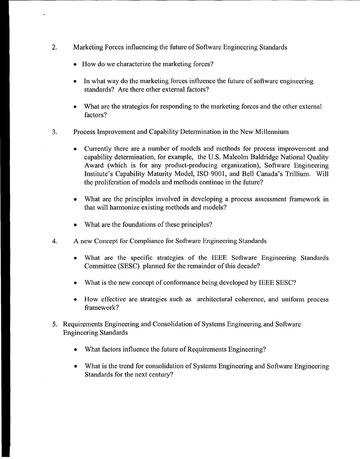- 2. Marketing Forces influencing the future of Software Engineering Standards
	- . How do wecharacterize the marketing forces?
	- . In what way do the marketing forces influence the future of software engineering standards? Are there other external factors?
	- . What are the strategies for responding to the marketing forces and the other external factors?
- 3. Process Improvement and Capability Determination in the New Millennium
	- . Currently there are a number of models and methods for process improvement and capability determination, for example, the U.S. Malcolm Baldridge National Quality Award (which is for any product-producing organization), Software Engineering Institute's Capability Maturity Model, 1S0 9001, and Bell Canada's Trillium. Will the proliferation of models and methods continue in the future?
	- . What are the principles involved in developing a process assessment framework in that will harmonize existing methods and models?
	- What are the foundations of these principles?
- 4. A new Concept for Compliance for Software Engineering Standards
	- . What are the specific strategies of the IEEE Software Engineering Standards Committee (SESC) planned for the remainder of this decade?
	- . What is the new concept of conformance being developed by IEEE SESC?
	- . How effective are strategies such as architectural coherence, and uniform process framework?
- 5. Requirements Engineering and Consolidation of Systems Engineering and Software Engineering Standards
	- What factors influence the future of Requirements Engineering?
	- . What is the trend for consolidation of Systems Engineering and Software Engineering Standards for the next century?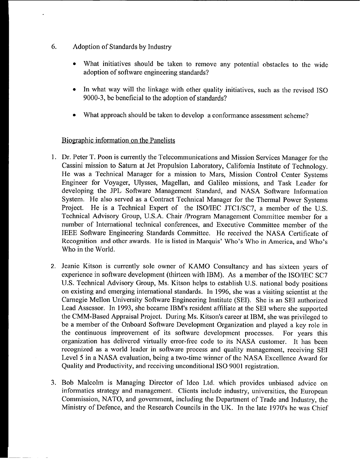- G. Adoption of Standards by Industry
	- What initiatives should be taken to remove any potential obstacles to the wide adoption of software engineering standards?
	- . In what way will the linkage with other quality initiatives, such as the revised 1S0 9000-3, be beneficial to the adoption of standards?
	- . What approach should be taken to develop a conformance assessment scheme?

## Biographic information on the Panelists

- 1. Dr. Peter T. Peon is currently the Telecommunications and Mission Services Manager for the Cassini mission to Saturn at Jet Propulsion Laboratory, California Institute of Technology, He was a Technical Manager for a mission to Mars, Mission Control Center Systems Engineer for Voyager, Ulysses, Magellan, and Galileo missions, and Task Leader for developing the JPL Software Management Standard, and NASA Software Information System. He also served as a Contract Technical Manager for the Thermal Power Systems Project. He is a Technical Expert of the ISO/IEC JTC1/SC7, a member of the U.S. Technical Advisory Group, U.S.A. Chair /Program Management Committee member for a number of International technical conferences, and Executive Committee member of the IEEE Software Engineering Standards Committee. He received the NASA Certificate of Recognition and other awards. He is listed in Marquis' Who's Who in America, and Who's Who in the World.
- 2. Jeanie Kitson is currently sole owner of KAMO Consultancy and has sixteen years of experience in software development (thirteen with IBM). As a member of the ISO/IEC SC7 U.S. Technical Advisory Group, Ms. Kitson helps to establish U.S. national body positions on existing and emerging international standards. In 1996, she was a visiting scientist at the Carnegie Mellon University Software Engineering Institute (SEI). She is an SEI authorized Lead Assessor. In 1993, she became IBM's resident affiliate at the SEI where she supported the CMM-Based Appraisal Project. During Ms. Kitson's career at IBM, she was privileged to be a member of the Onboard Software Development Organization and played a key role in the continuous improvement of its software development processes. For years this organization has delivered virtually error-free code to its NASA customer. It has been recognized as a world leader in software process and quality management, receiving SEI Level 5 in a NASA evaluation, being a two-time winner of the NASA Excellence Award for Quality and Productivity, and receiving unconditional 1S0 9001 registration.
- 3. Bob Malcolm is Managing Director of Ideo Ltd. which provides unbiased advice on informatics strategy and management, Clients include industry, universities, the European Commission, NATO, and government, including the Department of Trade and Industry, the Ministry of Defence, and the Research Councils in the UK, In the late 1970's he was Chief